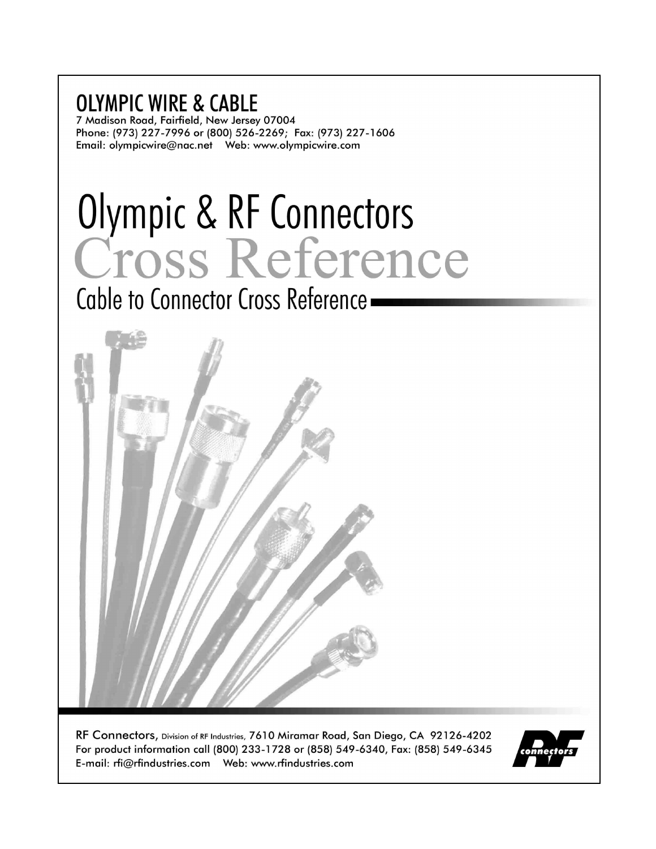# **OLYMPIC WIRE & CABLE**

7 Madison Road, Fairfield, New Jersey 07004 Phone: (973) 227-7996 or (800) 526-2269; Fax: (973) 227-1606 

# Olympic & RF Connectors<br>Cross Reference

Cable to Connector Cross Reference -



RF Connectors, Division of RF Industries, 7610 Miramar Road, San Diego, CA 92126-4202 For product information call (800) 233-1728 or (858) 549-6340, Fax: (858) 549-6345 

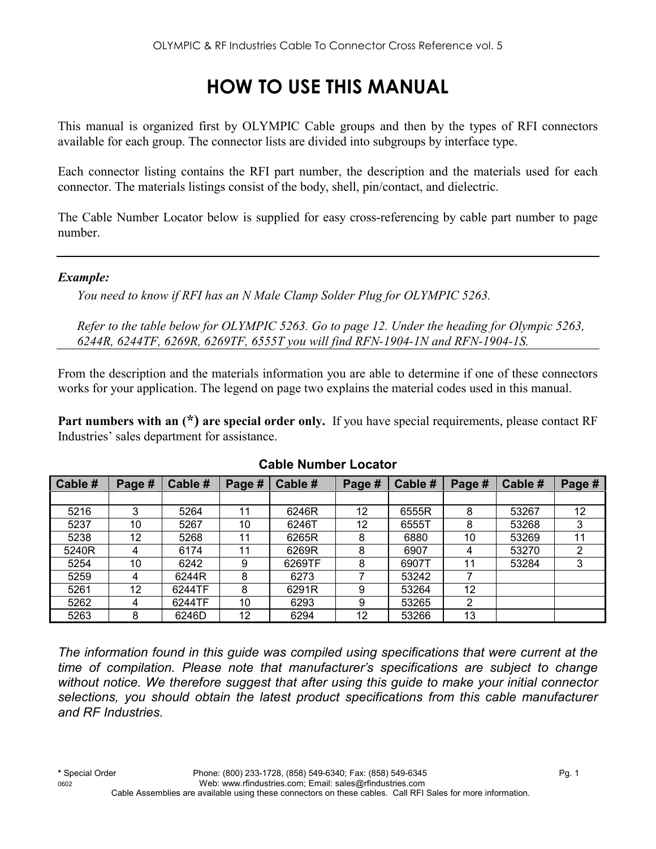# **HOW TO USE THIS MANUAL**

This manual is organized first by OLYMPIC Cable groups and then by the types of RFI connectors available for each group. The connector lists are divided into subgroups by interface type.

Each connector listing contains the RFI part number, the description and the materials used for each connector. The materials listings consist of the body, shell, pin/contact, and dielectric.

The Cable Number Locator below is supplied for easy cross-referencing by cable part number to page number.

#### *Example:*

*You need to know if RFI has an N Male Clamp Solder Plug for OLYMPIC 5263.* 

*Refer to the table below for OLYMPIC 5263. Go to page 12. Under the heading for Olympic 5263, 6244R, 6244TF, 6269R, 6269TF, 6555T you will find RFN-1904-1N and RFN-1904-1S.* 

From the description and the materials information you are able to determine if one of these connectors works for your application. The legend on page two explains the material codes used in this manual.

**Part numbers with an (\*) are special order only.** If you have special requirements, please contact RF Industries' sales department for assistance.

| Cable # | Page # | Cable # | Page # | Cable # | Page # | Cable # | Page # | Cable # | Page # |
|---------|--------|---------|--------|---------|--------|---------|--------|---------|--------|
|         |        |         |        |         |        |         |        |         |        |
| 5216    | 3      | 5264    | 11     | 6246R   | 12     | 6555R   | 8      | 53267   | 12     |
| 5237    | 10     | 5267    | 10     | 6246T   | 12     | 6555T   | 8      | 53268   | 3      |
| 5238    | 12     | 5268    | 11     | 6265R   | 8      | 6880    | 10     | 53269   | 11     |
| 5240R   | 4      | 6174    | 11     | 6269R   | 8      | 6907    | 4      | 53270   | 2      |
| 5254    | 10     | 6242    | 9      | 6269TF  | 8      | 6907T   | 11     | 53284   | 3      |
| 5259    | 4      | 6244R   | 8      | 6273    |        | 53242   |        |         |        |
| 5261    | 12     | 6244TF  | 8      | 6291R   | 9      | 53264   | 12     |         |        |
| 5262    | 4      | 6244TF  | 10     | 6293    | 9      | 53265   | 2      |         |        |
| 5263    | 8      | 6246D   | 12     | 6294    | 12     | 53266   | 13     |         |        |

#### **Cable Number Locator**

*The information found in this guide was compiled using specifications that were current at the time of compilation. Please note that manufacturer's specifications are subject to change without notice. We therefore suggest that after using this guide to make your initial connector selections, you should obtain the latest product specifications from this cable manufacturer and RF Industries.*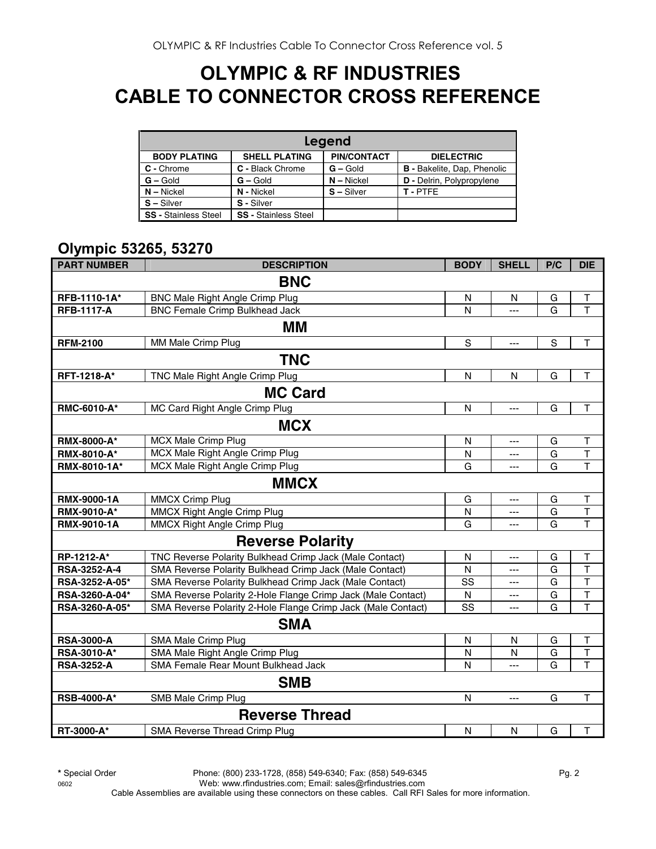## **OLYMPIC & RF INDUSTRIES CABLE TO CONNECTOR CROSS REFERENCE**

|                             | Legend                      |                    |                                    |  |  |  |  |  |  |
|-----------------------------|-----------------------------|--------------------|------------------------------------|--|--|--|--|--|--|
| <b>BODY PLATING</b>         | <b>SHELL PLATING</b>        | <b>PIN/CONTACT</b> | <b>DIELECTRIC</b>                  |  |  |  |  |  |  |
| C - Chrome                  | C - Black Chrome            | $G -$ Gold         | <b>B</b> - Bakelite, Dap, Phenolic |  |  |  |  |  |  |
| $G - Gold$                  | $G - Gold$                  | $N - Nickel$       | D - Delrin, Polypropylene          |  |  |  |  |  |  |
| $N - Nickel$                | N - Nickel                  | $S - Silver$       | T-PTFF                             |  |  |  |  |  |  |
| $S - Silver$                | S - Silver                  |                    |                                    |  |  |  |  |  |  |
| <b>SS - Stainless Steel</b> | <b>SS - Stainless Steel</b> |                    |                                    |  |  |  |  |  |  |

#### **Olympic 53265, 53270**

| <b>PART NUMBER</b> | <b>DESCRIPTION</b>                                           | <b>BODY</b> | <b>SHELL</b> | P/C         | <b>DIE</b>              |
|--------------------|--------------------------------------------------------------|-------------|--------------|-------------|-------------------------|
|                    | <b>BNC</b>                                                   |             |              |             |                         |
| RFB-1110-1A*       | <b>BNC Male Right Angle Crimp Plug</b>                       | N           | N            | G           | T                       |
| <b>RFB-1117-A</b>  | <b>BNC Female Crimp Bulkhead Jack</b>                        | N           | ---          | G           | T                       |
|                    | MМ                                                           |             |              |             |                         |
| <b>RFM-2100</b>    | MM Male Crimp Plug                                           | $\mathsf S$ | ---          | $\mathsf S$ | $\mathsf T$             |
|                    | <b>TNC</b>                                                   |             |              |             |                         |
| RFT-1218-A*        | TNC Male Right Angle Crimp Plug                              | ${\sf N}$   | ${\sf N}$    | G           | $\top$                  |
|                    | <b>MC Card</b>                                               |             |              |             |                         |
| RMC-6010-A*        | MC Card Right Angle Crimp Plug                               | N           | ---          | G           | $\top$                  |
|                    | <b>MCX</b>                                                   |             |              |             |                         |
| <b>RMX-8000-A*</b> | <b>MCX Male Crimp Plug</b>                                   | N           | $---$        | G           | $\sf T$                 |
| RMX-8010-A*        | MCX Male Right Angle Crimp Plug                              | N           | ---          | G           | T                       |
| RMX-8010-1A*       | MCX Male Right Angle Crimp Plug                              | G           | ---          | G           | T                       |
|                    | <b>MMCX</b>                                                  |             |              |             |                         |
| RMX-9000-1A        | <b>MMCX Crimp Plug</b>                                       | G           | ---          | G           | Т                       |
| RMX-9010-A*        | MMCX Right Angle Crimp Plug                                  | N           | ---          | G           | T                       |
| RMX-9010-1A        | <b>MMCX Right Angle Crimp Plug</b>                           | G           | ---          | G           | T                       |
|                    | <b>Reverse Polarity</b>                                      |             |              |             |                         |
| RP-1212-A*         | TNC Reverse Polarity Bulkhead Crimp Jack (Male Contact)      | N           | ---          | G           | Τ                       |
| RSA-3252-A-4       | SMA Reverse Polarity Bulkhead Crimp Jack (Male Contact)      | N           | ---          | G           | $\overline{\mathsf{T}}$ |
| RSA-3252-A-05*     | SMA Reverse Polarity Bulkhead Crimp Jack (Male Contact)      | SS          | ---          | G           | $\top$                  |
| RSA-3260-A-04*     | SMA Reverse Polarity 2-Hole Flange Crimp Jack (Male Contact) | N           | ---          | G           | $\top$<br>T             |
| RSA-3260-A-05*     | SMA Reverse Polarity 2-Hole Flange Crimp Jack (Male Contact) | SS          | ---          | G           |                         |
|                    | <b>SMA</b>                                                   |             |              |             |                         |
| <b>RSA-3000-A</b>  | SMA Male Crimp Plug                                          | N           | N            | G           | $\mathsf T$             |
| RSA-3010-A*        | SMA Male Right Angle Crimp Plug                              | Ν           | N            | G           | $\overline{\mathsf{T}}$ |
| <b>RSA-3252-A</b>  | SMA Female Rear Mount Bulkhead Jack                          | N           | ---          | G           | T                       |
|                    | <b>SMB</b>                                                   |             |              |             |                         |
| <b>RSB-4000-A*</b> | SMB Male Crimp Plug                                          | N           | ---          | G           | $\mathsf T$             |
|                    | <b>Reverse Thread</b>                                        |             |              |             |                         |
| RT-3000-A*         | SMA Reverse Thread Crimp Plug                                | N           | $\mathsf{N}$ | G           | $\mathsf T$             |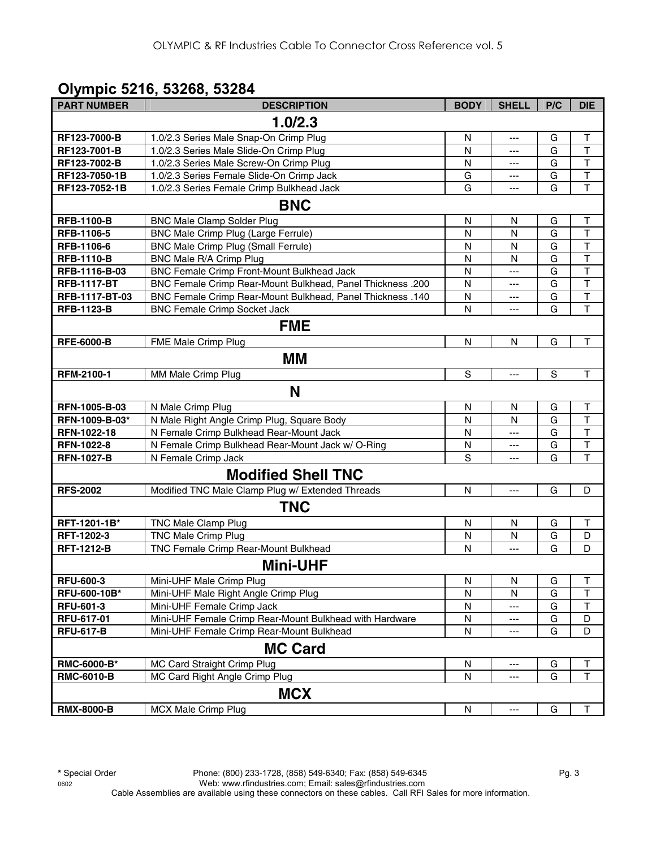## **Olympic 5216, 53268, 53284**

| <b>PART NUMBER</b> | <b>DESCRIPTION</b>                                         | <b>BODY</b>  | <b>SHELL</b> | P/C            | <b>DIE</b>              |
|--------------------|------------------------------------------------------------|--------------|--------------|----------------|-------------------------|
|                    | 1.0/2.3                                                    |              |              |                |                         |
| RF123-7000-B       | 1.0/2.3 Series Male Snap-On Crimp Plug                     | N            | ---          | G              | Τ                       |
| RF123-7001-B       | 1.0/2.3 Series Male Slide-On Crimp Plug                    | N            | ---          | G              | $\mathsf{T}$            |
| RF123-7002-B       | 1.0/2.3 Series Male Screw-On Crimp Plug                    | N            | $---$        | G              | $\mathsf{T}$            |
| RF123-7050-1B      | 1.0/2.3 Series Female Slide-On Crimp Jack                  | G            | $---$        | G              | $\top$                  |
| RF123-7052-1B      | 1.0/2.3 Series Female Crimp Bulkhead Jack                  | G            |              | G              | T                       |
|                    | <b>BNC</b>                                                 |              |              |                |                         |
| <b>RFB-1100-B</b>  | <b>BNC Male Clamp Solder Plug</b>                          | $\mathsf{N}$ | N            | G              | Τ                       |
| RFB-1106-5         | BNC Male Crimp Plug (Large Ferrule)                        | N            | N            | G              | $\mathsf T$             |
| RFB-1106-6         | BNC Male Crimp Plug (Small Ferrule)                        | $\mathsf{N}$ | N            | G              | $\overline{\mathsf{T}}$ |
| <b>RFB-1110-B</b>  | BNC Male R/A Crimp Plug                                    | $\mathsf{N}$ | $\mathsf{N}$ | G              | $\overline{\mathsf{T}}$ |
| RFB-1116-B-03      | BNC Female Crimp Front-Mount Bulkhead Jack                 | N            | ---          | G              | $\overline{\mathsf{T}}$ |
| <b>RFB-1117-BT</b> | BNC Female Crimp Rear-Mount Bulkhead, Panel Thickness .200 | N            | $---$        | G              | $\overline{\mathsf{T}}$ |
| RFB-1117-BT-03     | BNC Female Crimp Rear-Mount Bulkhead, Panel Thickness .140 | N            | $---$        | G              | $\overline{\mathsf{T}}$ |
| <b>RFB-1123-B</b>  | <b>BNC Female Crimp Socket Jack</b>                        | N            | $---$        | G              | $\overline{\mathsf{T}}$ |
|                    | <b>FME</b>                                                 |              |              |                |                         |
| <b>RFE-6000-B</b>  | FME Male Crimp Plug                                        | $\mathsf{N}$ | N            | G              | T                       |
|                    | MМ                                                         |              |              |                |                         |
| RFM-2100-1         | MM Male Crimp Plug                                         | S            | $---$        | $\overline{s}$ | $\mathsf T$             |
|                    | N                                                          |              |              |                |                         |
| RFN-1005-B-03      | N Male Crimp Plug                                          | N            | N            | G              | Τ                       |
| RFN-1009-B-03*     | N Male Right Angle Crimp Plug, Square Body                 | $\mathsf{N}$ | N            | G              | $\top$                  |
| RFN-1022-18        | N Female Crimp Bulkhead Rear-Mount Jack                    | $\mathsf{N}$ |              | G              | $\overline{\mathsf{T}}$ |
| <b>RFN-1022-8</b>  | N Female Crimp Bulkhead Rear-Mount Jack w/ O-Ring          | N            | ---          | G              | $\overline{\mathsf{T}}$ |
| <b>RFN-1027-B</b>  | N Female Crimp Jack                                        | S            | $---$        | G              | $\overline{\mathsf{T}}$ |
|                    | <b>Modified Shell TNC</b>                                  |              |              |                |                         |
| <b>RFS-2002</b>    | Modified TNC Male Clamp Plug w/ Extended Threads           | N            | ---          | G              | D                       |
|                    | <b>TNC</b>                                                 |              |              |                |                         |
| RFT-1201-1B*       | <b>TNC Male Clamp Plug</b>                                 | N            | N            | G              | Τ                       |
| RFT-1202-3         | <b>TNC Male Crimp Plug</b>                                 | N            | N            | G              | D                       |
| <b>RFT-1212-B</b>  | TNC Female Crimp Rear-Mount Bulkhead                       | N            | ---          | G              | D                       |
|                    | <b>Mini-UHF</b>                                            |              |              |                |                         |
| <b>RFU-600-3</b>   | Mini-UHF Male Crimp Plug                                   | N            | N            | G              | T                       |
| RFU-600-10B*       | Mini-UHF Male Right Angle Crimp Plug                       | N            | N            | G              | $\mathsf{T}$            |
| <b>RFU-601-3</b>   | Mini-UHF Female Crimp Jack                                 | N            |              | G              | Τ                       |
| RFU-617-01         | Mini-UHF Female Crimp Rear-Mount Bulkhead with Hardware    | N            |              | G              | D                       |
| <b>RFU-617-B</b>   | Mini-UHF Female Crimp Rear-Mount Bulkhead                  | $\mathsf{N}$ | ---          | G              | D                       |
|                    | <b>MC Card</b>                                             |              |              |                |                         |
| RMC-6000-B*        | MC Card Straight Crimp Plug                                | N            |              | G              | T                       |
| <b>RMC-6010-B</b>  | MC Card Right Angle Crimp Plug                             | $\mathsf{N}$ | ---          | G              | T                       |
|                    | <b>MCX</b>                                                 |              |              |                |                         |
| <b>RMX-8000-B</b>  | <b>MCX Male Crimp Plug</b>                                 | $\mathsf{N}$ | $---$        | G              | $\top$                  |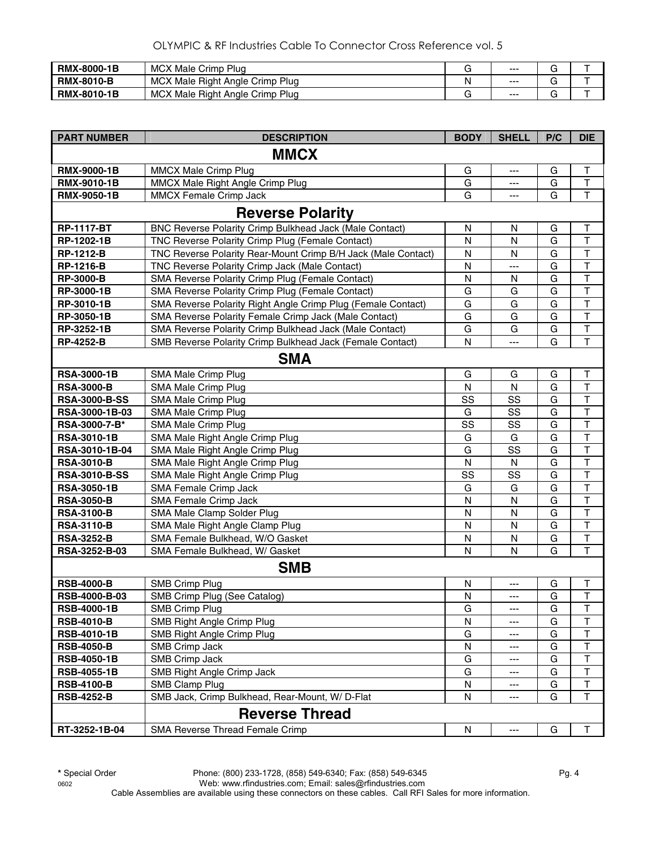| <b>RMX-8000-1B</b> | <b>MCX</b><br>Male Crimp<br>Plua                 |   | $--$ |   |  |
|--------------------|--------------------------------------------------|---|------|---|--|
| <b>RMX-8010-B</b>  | <b>MCX</b><br>. Male Right Angle Crimp Plug      | N | $--$ | ີ |  |
| <b>RMX-8010-1B</b> | <b>MCX</b><br>. Male Right Angle Crimp I<br>Plua |   | $--$ | ີ |  |

| <b>PART NUMBER</b>   | <b>DESCRIPTION</b>                                            | <b>BODY</b>  | <b>SHELL</b>   | P/C | <b>DIE</b>              |
|----------------------|---------------------------------------------------------------|--------------|----------------|-----|-------------------------|
|                      | <b>MMCX</b>                                                   |              |                |     |                         |
| <b>RMX-9000-1B</b>   | <b>MMCX Male Crimp Plug</b>                                   | G            | ---            | G   | T                       |
| <b>RMX-9010-1B</b>   | MMCX Male Right Angle Crimp Plug                              | G            | ---            | G   | T                       |
| <b>RMX-9050-1B</b>   | <b>MMCX Female Crimp Jack</b>                                 | G            | ---            | G   | $\mathsf{T}$            |
|                      | <b>Reverse Polarity</b>                                       |              |                |     |                         |
| <b>RP-1117-BT</b>    | BNC Reverse Polarity Crimp Bulkhead Jack (Male Contact)       | N            | N              | G   | Т                       |
| RP-1202-1B           | TNC Reverse Polarity Crimp Plug (Female Contact)              | N            | N              | G   | $\sf T$                 |
| <b>RP-1212-B</b>     | TNC Reverse Polarity Rear-Mount Crimp B/H Jack (Male Contact) | N            | N              | G   | $\mathsf T$             |
| <b>RP-1216-B</b>     | TNC Reverse Polarity Crimp Jack (Male Contact)                | N            | ---            | G   | $\top$                  |
| <b>RP-3000-B</b>     | SMA Reverse Polarity Crimp Plug (Female Contact)              | N            | N              | G   | $\mathsf T$             |
| RP-3000-1B           | SMA Reverse Polarity Crimp Plug (Female Contact)              | G            | G              | G   | T                       |
| RP-3010-1B           | SMA Reverse Polarity Right Angle Crimp Plug (Female Contact)  | G            | G              | G   | $\overline{\mathsf{T}}$ |
| RP-3050-1B           | SMA Reverse Polarity Female Crimp Jack (Male Contact)         | G            | G              | G   | $\top$                  |
| RP-3252-1B           | SMA Reverse Polarity Crimp Bulkhead Jack (Male Contact)       | G            | G              | G   | $\sf T$                 |
| <b>RP-4252-B</b>     | SMB Reverse Polarity Crimp Bulkhead Jack (Female Contact)     | $\mathsf{N}$ | ---            | G   | $\mathsf T$             |
|                      | <b>SMA</b>                                                    |              |                |     |                         |
| <b>RSA-3000-1B</b>   | SMA Male Crimp Plug                                           | G            | G              | G   | Τ                       |
| <b>RSA-3000-B</b>    | SMA Male Crimp Plug                                           | N            | N              | G   | $\mathsf T$             |
| <b>RSA-3000-B-SS</b> | SMA Male Crimp Plug                                           | SS           | SS             | G   | $\overline{\mathsf{T}}$ |
| RSA-3000-1B-03       | SMA Male Crimp Plug                                           | G            | SS             | G   | T                       |
| RSA-3000-7-B*        | SMA Male Crimp Plug                                           | SS           | SS             | G   | T                       |
| <b>RSA-3010-1B</b>   | SMA Male Right Angle Crimp Plug                               | G            | G              | G   | $\overline{\mathsf{T}}$ |
| RSA-3010-1B-04       | SMA Male Right Angle Crimp Plug                               | G            | SS             | G   | $\mathsf T$             |
| <b>RSA-3010-B</b>    | SMA Male Right Angle Crimp Plug                               | N            | N              | G   | T                       |
| <b>RSA-3010-B-SS</b> | SMA Male Right Angle Crimp Plug                               | SS           | SS             | G   | T                       |
| <b>RSA-3050-1B</b>   | SMA Female Crimp Jack                                         | G            | G              | G   | T                       |
| <b>RSA-3050-B</b>    | SMA Female Crimp Jack                                         | $\mathsf{N}$ | N              | G   | $\overline{\mathsf{T}}$ |
| <b>RSA-3100-B</b>    | SMA Male Clamp Solder Plug                                    | $\mathsf{N}$ | N              | G   | $\overline{\mathsf{T}}$ |
| <b>RSA-3110-B</b>    | SMA Male Right Angle Clamp Plug                               | N            | N              | G   | $\overline{\mathsf{T}}$ |
| <b>RSA-3252-B</b>    | SMA Female Bulkhead, W/O Gasket                               | N            | N              | G   | $\sf T$                 |
| RSA-3252-B-03        | SMA Female Bulkhead, W/ Gasket                                | N            | N              | G   | $\overline{\mathsf{T}}$ |
|                      | <b>SMB</b>                                                    |              |                |     |                         |
| <b>RSB-4000-B</b>    | <b>SMB Crimp Plug</b>                                         | $\mathsf{N}$ | ---            | G   | T                       |
| RSB-4000-B-03        | SMB Crimp Plug (See Catalog)                                  | N            | ---            | G   | $\mathsf T$             |
| RSB-4000-1B          | SMB Crimp Plug                                                | G            |                | G   | $\overline{T}$          |
| <b>RSB-4010-B</b>    | SMB Right Angle Crimp Plug                                    | N            | ---            | G   | $\mathsf T$             |
| <b>RSB-4010-1B</b>   | SMB Right Angle Crimp Plug                                    | G            |                | G   | Т                       |
| <b>RSB-4050-B</b>    | SMB Crimp Jack                                                | N            |                | G   | $\mathsf T$             |
| <b>RSB-4050-1B</b>   | SMB Crimp Jack                                                | G            | ---            | G   | $\mathsf T$             |
| <b>RSB-4055-1B</b>   | SMB Right Angle Crimp Jack                                    | G            | ---            | G   | $\mathsf T$             |
| <b>RSB-4100-B</b>    | SMB Clamp Plug                                                | N            | ---            | G   | $\mathsf T$             |
| <b>RSB-4252-B</b>    | SMB Jack, Crimp Bulkhead, Rear-Mount, W/ D-Flat               | N            |                | G   | $\mathsf T$             |
|                      | <b>Reverse Thread</b>                                         |              |                |     |                         |
| RT-3252-1B-04        | SMA Reverse Thread Female Crimp                               | N            | $\overline{a}$ | G   | T                       |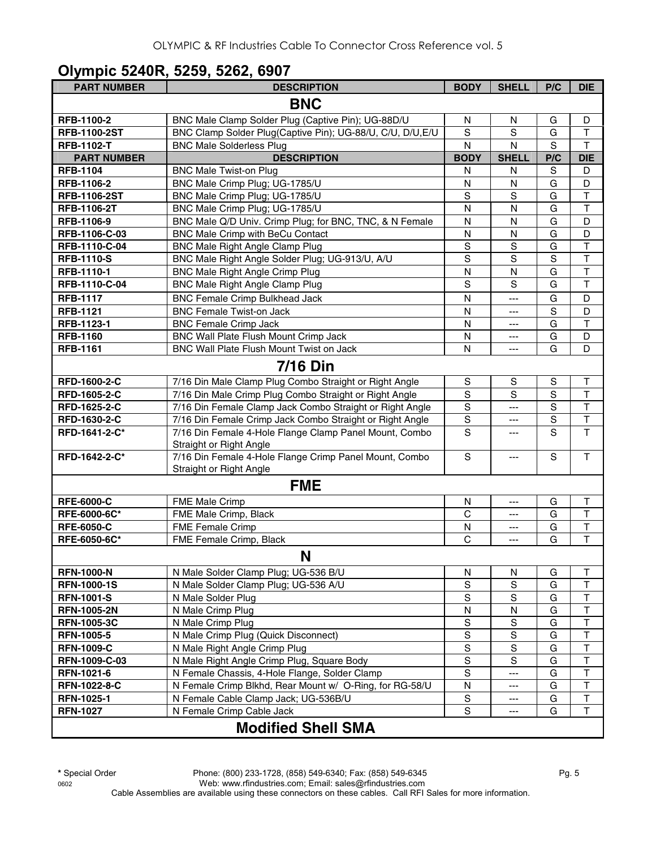#### **Olympic 5240R, 5259, 5262, 6907**

| <b>PART NUMBER</b>  | <b>DESCRIPTION</b>                                                                | <b>BODY</b>   | <b>SHELL</b>  | P/C            | <b>DIE</b>              |
|---------------------|-----------------------------------------------------------------------------------|---------------|---------------|----------------|-------------------------|
|                     | <b>BNC</b>                                                                        |               |               |                |                         |
| RFB-1100-2          | BNC Male Clamp Solder Plug (Captive Pin); UG-88D/U                                | N             | N             | G              | D                       |
| <b>RFB-1100-2ST</b> | BNC Clamp Solder Plug(Captive Pin); UG-88/U, C/U, D/U, E/U                        | S             | ${\mathsf S}$ | G              | T                       |
| <b>RFB-1102-T</b>   | <b>BNC Male Solderless Plug</b>                                                   | N             | N             | S              | $\mathsf T$             |
| <b>PART NUMBER</b>  | <b>DESCRIPTION</b>                                                                | <b>BODY</b>   | <b>SHELL</b>  | P/C            | <b>DIE</b>              |
| <b>RFB-1104</b>     | <b>BNC Male Twist-on Plug</b>                                                     | N             | N             | S              | D                       |
| RFB-1106-2          | BNC Male Crimp Plug; UG-1785/U                                                    | N             | N             | G              | D                       |
| <b>RFB-1106-2ST</b> | BNC Male Crimp Plug; UG-1785/U                                                    | S             | S             | G              | T                       |
| <b>RFB-1106-2T</b>  | BNC Male Crimp Plug; UG-1785/U                                                    | N             | N             | G              | $\mathsf T$             |
| RFB-1106-9          | BNC Male Q/D Univ. Crimp Plug; for BNC, TNC, & N Female                           | N             | N             | G              | D                       |
| RFB-1106-C-03       | BNC Male Crimp with BeCu Contact                                                  | $\mathsf{N}$  | $\mathsf{N}$  | G              | D                       |
| RFB-1110-C-04       | <b>BNC Male Right Angle Clamp Plug</b>                                            | $\mathbf S$   | S             | G              | $\overline{\mathsf{T}}$ |
| <b>RFB-1110-S</b>   | BNC Male Right Angle Solder Plug; UG-913/U, A/U                                   | S             | S             | S              | $\mathsf{T}$            |
| RFB-1110-1          | BNC Male Right Angle Crimp Plug                                                   | N             | N             | G              | T                       |
| RFB-1110-C-04       | <b>BNC Male Right Angle Clamp Plug</b>                                            | S             | S             | G              | $\mathsf T$             |
| <b>RFB-1117</b>     | <b>BNC Female Crimp Bulkhead Jack</b>                                             | $\mathsf{N}$  | ---           | G              | D                       |
| <b>RFB-1121</b>     | <b>BNC Female Twist-on Jack</b>                                                   | N             | ---           | $\mathbf S$    | D                       |
| RFB-1123-1          | <b>BNC Female Crimp Jack</b>                                                      | N             | ---           | G              | $\mathsf T$             |
| <b>RFB-1160</b>     | BNC Wall Plate Flush Mount Crimp Jack                                             | N             | ---           | G              | D                       |
| <b>RFB-1161</b>     | BNC Wall Plate Flush Mount Twist on Jack                                          | N             | ---           | G              | D                       |
|                     | <b>7/16 Din</b>                                                                   |               |               |                |                         |
| RFD-1600-2-C        | 7/16 Din Male Clamp Plug Combo Straight or Right Angle                            | S             | S             | $\mathbb S$    | T                       |
| RFD-1605-2-C        | 7/16 Din Male Crimp Plug Combo Straight or Right Angle                            | $\mathbf S$   | S             | $\overline{s}$ | $\overline{\mathsf{T}}$ |
| RFD-1625-2-C        | 7/16 Din Female Clamp Jack Combo Straight or Right Angle                          | $\mathsf S$   | ---           | $\overline{S}$ | $\overline{\mathsf{T}}$ |
| RFD-1630-2-C        | 7/16 Din Female Crimp Jack Combo Straight or Right Angle                          | $\mathbb S$   | ---           | S              | $\overline{\mathsf{T}}$ |
| RFD-1641-2-C*       | 7/16 Din Female 4-Hole Flange Clamp Panel Mount, Combo                            | S             | ---           | S              | $\overline{\mathsf{T}}$ |
|                     | Straight or Right Angle                                                           |               |               |                |                         |
| RFD-1642-2-C*       | 7/16 Din Female 4-Hole Flange Crimp Panel Mount, Combo<br>Straight or Right Angle | S             | ---           | S              | T                       |
|                     | <b>FME</b>                                                                        |               |               |                |                         |
| <b>RFE-6000-C</b>   | FME Male Crimp                                                                    | N             | ---           | G              | $\mathsf{T}$            |
| RFE-6000-6C*        | FME Male Crimp, Black                                                             | C             | ---           | G              | $\mathsf T$             |
| <b>RFE-6050-C</b>   | <b>FME Female Crimp</b>                                                           | N             | ---           | G              | $\top$                  |
| RFE-6050-6C*        | FME Female Crimp, Black                                                           | C             | ---           | G              | $\mathsf T$             |
|                     | N                                                                                 |               |               |                |                         |
| <b>RFN-1000-N</b>   | N Male Solder Clamp Plug; UG-536 B/U                                              | N             | N             | G              | $\top$                  |
| <b>RFN-1000-1S</b>  | N Male Solder Clamp Plug; UG-536 A/U                                              | S             | S             | G              | $\top$                  |
| <b>RFN-1001-S</b>   | N Male Solder Plug                                                                | S             | S             | G              | $\top$                  |
| <b>RFN-1005-2N</b>  | N Male Crimp Plug                                                                 | N             | N             | G              | $\mathsf T$             |
| <b>RFN-1005-3C</b>  | N Male Crimp Plug                                                                 | $\mathbb S$   | ${\mathsf S}$ | G              | $\mathsf T$             |
| <b>RFN-1005-5</b>   | N Male Crimp Plug (Quick Disconnect)                                              | S             | S             | G              | $\top$                  |
| <b>RFN-1009-C</b>   | N Male Right Angle Crimp Plug                                                     | S             | S             | G              | T                       |
| RFN-1009-C-03       | N Male Right Angle Crimp Plug, Square Body                                        | $\mathbb S$   | S             | G              | $\top$                  |
| RFN-1021-6          | N Female Chassis, 4-Hole Flange, Solder Clamp                                     | $\mathsf S$   | ---           | G              | $\top$                  |
| RFN-1022-8-C        | N Female Crimp Blkhd, Rear Mount w/ O-Ring, for RG-58/U                           | N             | ---           | G              | T                       |
| <b>RFN-1025-1</b>   | N Female Cable Clamp Jack; UG-536B/U                                              | ${\mathsf S}$ | ---           | G              | $\sf T$                 |
| <b>RFN-1027</b>     | N Female Crimp Cable Jack                                                         | ${\mathsf S}$ | ---           | G              | $\top$                  |
|                     | <b>Modified Shell SMA</b>                                                         |               |               |                |                         |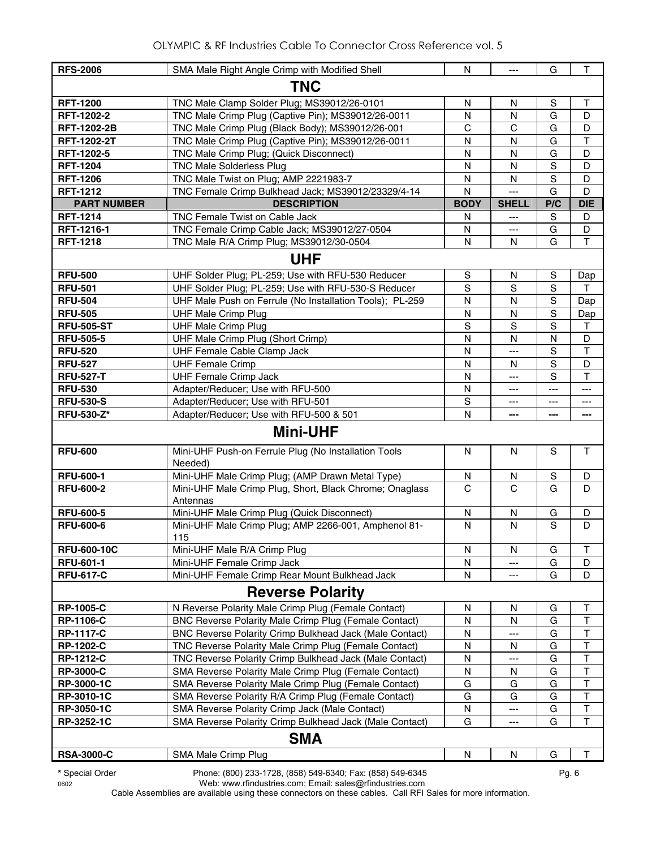| <b>RFS-2006</b>    | SMA Male Right Angle Crimp with Modified Shell                      | N           | $---$        | G           | $\mathsf{T}$ |  |  |  |
|--------------------|---------------------------------------------------------------------|-------------|--------------|-------------|--------------|--|--|--|
| <b>TNC</b>         |                                                                     |             |              |             |              |  |  |  |
| <b>RFT-1200</b>    | TNC Male Clamp Solder Plug; MS39012/26-0101                         | N           | N            | S           | $\mathsf{T}$ |  |  |  |
| RFT-1202-2         | TNC Male Crimp Plug (Captive Pin); MS39012/26-0011                  | N           | N            | G           | D            |  |  |  |
| <b>RFT-1202-2B</b> | TNC Male Crimp Plug (Black Body); MS39012/26-001                    | $\mathsf C$ | $\mathsf C$  | G           | D            |  |  |  |
| <b>RFT-1202-2T</b> | TNC Male Crimp Plug (Captive Pin); MS39012/26-0011                  | N           | N            | G           | $\mathsf T$  |  |  |  |
| RFT-1202-5         | TNC Male Crimp Plug; (Quick Disconnect)                             | N           | N            | G           | D            |  |  |  |
| <b>RFT-1204</b>    | <b>TNC Male Solderless Plug</b>                                     | N           | N            | $\mathbf S$ | D            |  |  |  |
| <b>RFT-1206</b>    | TNC Male Twist on Plug; AMP 2221983-7                               | N           | N            | S           | D            |  |  |  |
| <b>RFT-1212</b>    | TNC Female Crimp Bulkhead Jack; MS39012/23329/4-14                  | N           | $---$        | G           | D            |  |  |  |
| <b>PART NUMBER</b> | <b>DESCRIPTION</b>                                                  | <b>BODY</b> | <b>SHELL</b> | P/C         | <b>DIE</b>   |  |  |  |
| <b>RFT-1214</b>    | <b>TNC Female Twist on Cable Jack</b>                               | N           | ---          | S           | D            |  |  |  |
| RFT-1216-1         | TNC Female Crimp Cable Jack; MS39012/27-0504                        | N           | ---          | G           | D            |  |  |  |
| <b>RFT-1218</b>    | TNC Male R/A Crimp Plug; MS39012/30-0504                            | N           | N            | G           | $\mathsf{T}$ |  |  |  |
|                    | <b>UHF</b>                                                          |             |              |             |              |  |  |  |
| <b>RFU-500</b>     | UHF Solder Plug; PL-259; Use with RFU-530 Reducer                   | S           | N            | S           | Dap          |  |  |  |
| <b>RFU-501</b>     | UHF Solder Plug; PL-259; Use with RFU-530-S Reducer                 | S           | S            | S           | Τ            |  |  |  |
| <b>RFU-504</b>     | UHF Male Push on Ferrule (No Installation Tools); PL-259            | N           | N            | S           | Dap          |  |  |  |
| <b>RFU-505</b>     | <b>UHF Male Crimp Plug</b>                                          | N           | N            | S           | Dap          |  |  |  |
| <b>RFU-505-ST</b>  | <b>UHF Male Crimp Plug</b>                                          | $\mathbf S$ | $\mathbf S$  | $\mathbf S$ | $\mathsf{T}$ |  |  |  |
| <b>RFU-505-5</b>   | UHF Male Crimp Plug (Short Crimp)                                   | N           | N            | N           | D            |  |  |  |
| <b>RFU-520</b>     | UHF Female Cable Clamp Jack                                         | N           | ---          | S           | $\mathsf T$  |  |  |  |
| <b>RFU-527</b>     | <b>UHF Female Crimp</b>                                             | N           | N            | $\mathbf S$ | D            |  |  |  |
| <b>RFU-527-T</b>   | <b>UHF Female Crimp Jack</b>                                        | N           | ---          | S           | $\top$       |  |  |  |
| <b>RFU-530</b>     | Adapter/Reducer; Use with RFU-500                                   | N           | ---          | ---         | ---          |  |  |  |
| <b>RFU-530-S</b>   | Adapter/Reducer; Use with RFU-501                                   | $\mathbf S$ | ---          | ---         | ---          |  |  |  |
| <b>RFU-530-Z*</b>  | Adapter/Reducer; Use with RFU-500 & 501                             | N           |              | ---         |              |  |  |  |
|                    | <b>Mini-UHF</b>                                                     |             |              |             |              |  |  |  |
| <b>RFU-600</b>     | Mini-UHF Push-on Ferrule Plug (No Installation Tools<br>Needed)     | N           | N            | S           | T            |  |  |  |
| <b>RFU-600-1</b>   | Mini-UHF Male Crimp Plug; (AMP Drawn Metal Type)                    | N           | N            | S           | D            |  |  |  |
| <b>RFU-600-2</b>   | Mini-UHF Male Crimp Plug, Short, Black Chrome; Onaglass<br>Antennas | C           | C            | G           | D            |  |  |  |
| <b>RFU-600-5</b>   | Mini-UHF Male Crimp Plug (Quick Disconnect)                         | N           | N            | G           | D            |  |  |  |
| <b>RFU-600-6</b>   | Mini-UHF Male Crimp Plug; AMP 2266-001, Amphenol 81-<br>115         | N           | N            | S           | D            |  |  |  |
| <b>RFU-600-10C</b> | Mini-UHF Male R/A Crimp Plug                                        | N           | N            | G           | Т            |  |  |  |
| <b>RFU-601-1</b>   | Mini-UHF Female Crimp Jack                                          | N           |              | G           | D            |  |  |  |
| <b>RFU-617-C</b>   | Mini-UHF Female Crimp Rear Mount Bulkhead Jack                      | N           |              | G           | D            |  |  |  |
|                    | <b>Reverse Polarity</b>                                             |             |              |             |              |  |  |  |
| <b>RP-1005-C</b>   | N Reverse Polarity Male Crimp Plug (Female Contact)                 | N           | N            | G           | т            |  |  |  |
| <b>RP-1106-C</b>   | <b>BNC Reverse Polarity Male Crimp Plug (Female Contact)</b>        | N           | N            | G           | Τ            |  |  |  |
| <b>RP-1117-C</b>   | BNC Reverse Polarity Crimp Bulkhead Jack (Male Contact)             | N           |              | G           | T            |  |  |  |
| <b>RP-1202-C</b>   | TNC Reverse Polarity Male Crimp Plug (Female Contact)               | N           | N            | G           | T            |  |  |  |
| <b>RP-1212-C</b>   | TNC Reverse Polarity Crimp Bulkhead Jack (Male Contact)             | N           | ---          | G           | T            |  |  |  |
| <b>RP-3000-C</b>   | SMA Reverse Polarity Male Crimp Plug (Female Contact)               | N           | N            | G           | T            |  |  |  |
| RP-3000-1C         | SMA Reverse Polarity Male Crimp Plug (Female Contact)               | G           | G            | G           | T            |  |  |  |
| RP-3010-1C         | SMA Reverse Polarity R/A Crimp Plug (Female Contact)                | G           | G            | G           | $\top$       |  |  |  |
| <b>RP-3050-1C</b>  | SMA Reverse Polarity Crimp Jack (Male Contact)                      | N           | ---          | G           | T            |  |  |  |
| RP-3252-1C         | SMA Reverse Polarity Crimp Bulkhead Jack (Male Contact)             | G           | ---          | G           | $\mathsf T$  |  |  |  |
|                    | <b>SMA</b>                                                          |             |              |             |              |  |  |  |
| <b>RSA-3000-C</b>  | SMA Male Crimp Plug                                                 | N           | N            | G           | Τ            |  |  |  |

**\*** Special Order Phone: (800) 233-1728, (858) 549-6340; Fax: (858) 549-6345 Pg. 6

0602 Web: www.rfindustries.com; Email: sales@rfindustries.com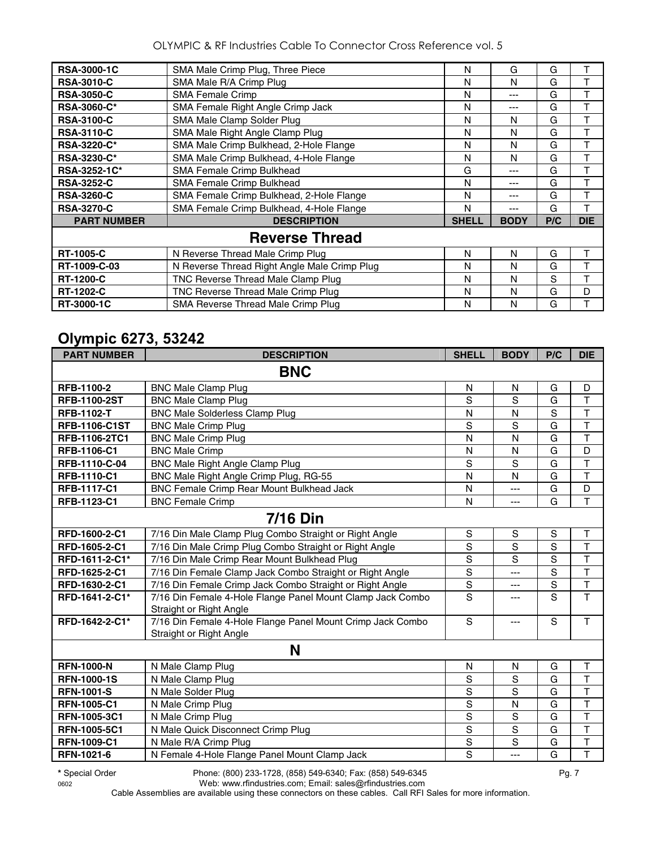OLYMPIC & RF Industries Cable To Connector Cross Reference vol. 5

| <b>RSA-3000-1C</b> | SMA Male Crimp Plug, Three Piece             | N            | G           | G   |            |
|--------------------|----------------------------------------------|--------------|-------------|-----|------------|
| <b>RSA-3010-C</b>  | SMA Male R/A Crimp Plug                      | N            | N           | G   | T          |
| <b>RSA-3050-C</b>  | <b>SMA Female Crimp</b>                      | N            | ---         | G   |            |
| <b>RSA-3060-C*</b> | SMA Female Right Angle Crimp Jack            | N            | ---         | G   | Т          |
| <b>RSA-3100-C</b>  | SMA Male Clamp Solder Plug                   | N            | N           | G   |            |
| <b>RSA-3110-C</b>  | SMA Male Right Angle Clamp Plug              | N            | N           | G   | Т          |
| <b>RSA-3220-C*</b> | SMA Male Crimp Bulkhead, 2-Hole Flange       | N            | N           | G   | Т          |
| <b>RSA-3230-C*</b> | SMA Male Crimp Bulkhead, 4-Hole Flange       | N            | N           | G   | т          |
| RSA-3252-1C*       | SMA Female Crimp Bulkhead                    | G            | ---         | G   | Т          |
| <b>RSA-3252-C</b>  | SMA Female Crimp Bulkhead                    | N            | ---         | G   |            |
| <b>RSA-3260-C</b>  | SMA Female Crimp Bulkhead, 2-Hole Flange     | N            | ---         | G   | T          |
| <b>RSA-3270-C</b>  | SMA Female Crimp Bulkhead, 4-Hole Flange     | N            | ---         | G   | т          |
| <b>PART NUMBER</b> | <b>DESCRIPTION</b>                           | <b>SHELL</b> | <b>BODY</b> | P/C | <b>DIE</b> |
|                    | <b>Reverse Thread</b>                        |              |             |     |            |
| <b>RT-1005-C</b>   | N Reverse Thread Male Crimp Plug             | N            | N           | G   |            |
| RT-1009-C-03       | N Reverse Thread Right Angle Male Crimp Plug | N            | N           | G   |            |
| <b>RT-1200-C</b>   | TNC Reverse Thread Male Clamp Plug           | N            | N           | S   | т          |
| <b>RT-1202-C</b>   | TNC Reverse Thread Male Crimp Plug           | N            | N           | G   | D          |
| RT-3000-1C         | SMA Reverse Thread Male Crimp Plug           | N            | N           | G   | т          |

### **Olympic 6273, 53242**

| <b>PART NUMBER</b>   | <b>DESCRIPTION</b>                                                                    | <b>SHELL</b>   | <b>BODY</b> | P/C            | <b>DIE</b>              |
|----------------------|---------------------------------------------------------------------------------------|----------------|-------------|----------------|-------------------------|
|                      | <b>BNC</b>                                                                            |                |             |                |                         |
| RFB-1100-2           | <b>BNC Male Clamp Plug</b>                                                            | N              | N           | G              | D                       |
| <b>RFB-1100-2ST</b>  | <b>BNC Male Clamp Plug</b>                                                            | S              | S           | G              | $\mathsf{T}$            |
| <b>RFB-1102-T</b>    | <b>BNC Male Solderless Clamp Plug</b>                                                 | N              | N           | S              | T                       |
| <b>RFB-1106-C1ST</b> | <b>BNC Male Crimp Plug</b>                                                            | S              | S           | G              | $\top$                  |
| <b>RFB-1106-2TC1</b> | <b>BNC Male Crimp Plug</b>                                                            | N              | N           | G              | $\mathsf{T}$            |
| <b>RFB-1106-C1</b>   | <b>BNC Male Crimp</b>                                                                 | N              | N           | G              | D                       |
| RFB-1110-C-04        | <b>BNC Male Right Angle Clamp Plug</b>                                                | S              | S           | G              | $\overline{\mathsf{T}}$ |
| RFB-1110-C1          | BNC Male Right Angle Crimp Plug, RG-55                                                | N              | N           | G              | $\overline{\mathsf{T}}$ |
| <b>RFB-1117-C1</b>   | <b>BNC Female Crimp Rear Mount Bulkhead Jack</b>                                      | N              | ---         | G              | D                       |
| RFB-1123-C1          | <b>BNC Female Crimp</b>                                                               | N              | $---$       | G              | $\overline{\mathsf{T}}$ |
|                      | <b>7/16 Din</b>                                                                       |                |             |                |                         |
| RFD-1600-2-C1        | 7/16 Din Male Clamp Plug Combo Straight or Right Angle                                | $\mathbb S$    | $\mathbf S$ | $\mathbb S$    | T                       |
| RFD-1605-2-C1        | 7/16 Din Male Crimp Plug Combo Straight or Right Angle                                | S              | S           | $\overline{s}$ | $\top$                  |
| RFD-1611-2-C1*       | 7/16 Din Male Crimp Rear Mount Bulkhead Plug                                          | $\mathbf S$    | S           | S              | $\overline{\mathsf{T}}$ |
| RFD-1625-2-C1        | 7/16 Din Female Clamp Jack Combo Straight or Right Angle                              | $\mathbf S$    | ---         | S              | $\mathsf{T}$            |
| RFD-1630-2-C1        | 7/16 Din Female Crimp Jack Combo Straight or Right Angle                              | $\overline{s}$ | ---         | $\overline{s}$ | $\overline{\mathsf{T}}$ |
| RFD-1641-2-C1*       | 7/16 Din Female 4-Hole Flange Panel Mount Clamp Jack Combo<br>Straight or Right Angle | S              | ---         | S              | T.                      |
| RFD-1642-2-C1*       | 7/16 Din Female 4-Hole Flange Panel Mount Crimp Jack Combo<br>Straight or Right Angle | S              | ---         | $\mathbf S$    | T                       |
|                      | N                                                                                     |                |             |                |                         |
| <b>RFN-1000-N</b>    | N Male Clamp Plug                                                                     | N              | N           | G              | $\top$                  |
| <b>RFN-1000-1S</b>   | N Male Clamp Plug                                                                     | $\mathbf S$    | S           | G              | $\overline{\mathsf{T}}$ |
| <b>RFN-1001-S</b>    | N Male Solder Plug                                                                    | $\mathbf S$    | S           | G              | $\mathsf T$             |
| <b>RFN-1005-C1</b>   | N Male Crimp Plug                                                                     | S              | N           | G              | $\overline{\mathsf{T}}$ |
| <b>RFN-1005-3C1</b>  | N Male Crimp Plug                                                                     | S              | S           | G              | $\overline{1}$          |
| <b>RFN-1005-5C1</b>  | N Male Quick Disconnect Crimp Plug                                                    | $\mathbf S$    | S           | G              | $\top$                  |
| <b>RFN-1009-C1</b>   | N Male R/A Crimp Plug                                                                 | $\mathbf S$    | S           | G              | $\top$                  |
| RFN-1021-6           | N Female 4-Hole Flange Panel Mount Clamp Jack                                         | S              | ---         | G              | T                       |

**\*** Special Order Phone: (800) 233-1728, (858) 549-6340; Fax: (858) 549-6345 Pg. 7

0602 Web: www.rfindustries.com; Email: sales@rfindustries.com Cable Assemblies are available using these connectors on these cables. Call RFI Sales for more information.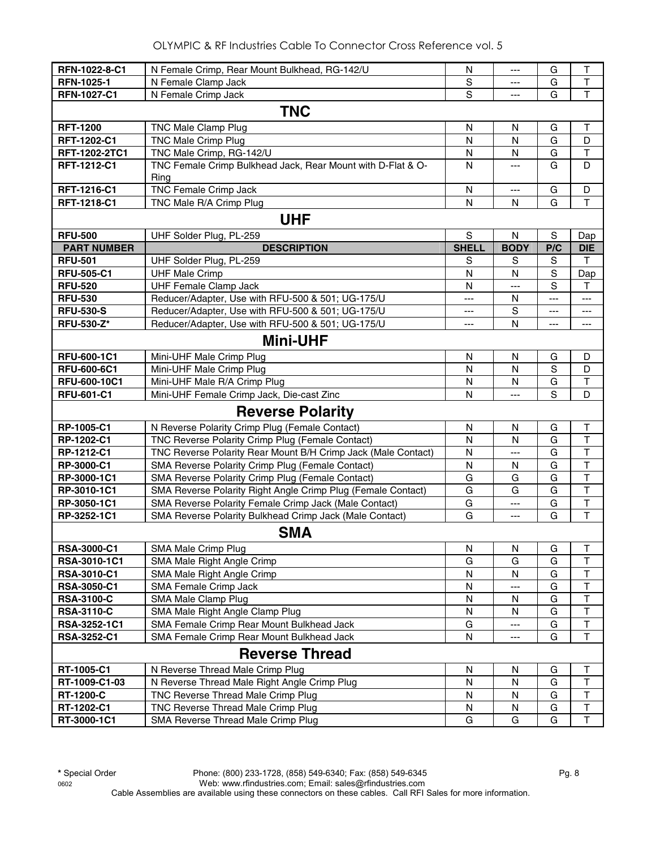| RFN-1022-8-C1      | N Female Crimp, Rear Mount Bulkhead, RG-142/U                       | N              | ---            | G           | Τ                       |  |  |  |  |
|--------------------|---------------------------------------------------------------------|----------------|----------------|-------------|-------------------------|--|--|--|--|
| RFN-1025-1         | N Female Clamp Jack                                                 | $\mathbf S$    | ---            | G           | T                       |  |  |  |  |
| <b>RFN-1027-C1</b> | N Female Crimp Jack                                                 | $\overline{s}$ | $\overline{a}$ | G           | $\overline{\mathsf{T}}$ |  |  |  |  |
| <b>TNC</b>         |                                                                     |                |                |             |                         |  |  |  |  |
| <b>RFT-1200</b>    | TNC Male Clamp Plug                                                 | $\mathsf{N}$   | N              | G           | Τ                       |  |  |  |  |
| <b>RFT-1202-C1</b> | <b>TNC Male Crimp Plug</b>                                          | N              | N              | G           | D                       |  |  |  |  |
| RFT-1202-2TC1      | TNC Male Crimp, RG-142/U                                            | N              | N              | G           | T                       |  |  |  |  |
| RFT-1212-C1        | TNC Female Crimp Bulkhead Jack, Rear Mount with D-Flat & O-<br>Ring | N              |                | G           | D                       |  |  |  |  |
| RFT-1216-C1        | TNC Female Crimp Jack                                               | $\mathsf{N}$   | $\overline{a}$ | G           | D                       |  |  |  |  |
| RFT-1218-C1        | TNC Male R/A Crimp Plug                                             | N              | N              | G           | $\mathsf{T}$            |  |  |  |  |
|                    | <b>UHF</b>                                                          |                |                |             |                         |  |  |  |  |
| <b>RFU-500</b>     | UHF Solder Plug, PL-259                                             | $\mathbf S$    | N              | S           | Dap                     |  |  |  |  |
| <b>PART NUMBER</b> | <b>DESCRIPTION</b>                                                  | <b>SHELL</b>   | <b>BODY</b>    | P/C         | <b>DIE</b>              |  |  |  |  |
| <b>RFU-501</b>     | UHF Solder Plug, PL-259                                             | S              | S              | S           | T                       |  |  |  |  |
| <b>RFU-505-C1</b>  | <b>UHF Male Crimp</b>                                               | N              | N              | $\mathbf S$ | Dap                     |  |  |  |  |
| <b>RFU-520</b>     | <b>UHF Female Clamp Jack</b>                                        | N              | $---$          | S           | Τ                       |  |  |  |  |
| <b>RFU-530</b>     | Reducer/Adapter, Use with RFU-500 & 501; UG-175/U                   | ---            | N              | $---$       | ---                     |  |  |  |  |
| <b>RFU-530-S</b>   | Reducer/Adapter, Use with RFU-500 & 501; UG-175/U                   | ---            | S              | ---         | $---$                   |  |  |  |  |
| <b>RFU-530-Z*</b>  | Reducer/Adapter, Use with RFU-500 & 501; UG-175/U                   | ---            | N              | ---         | ---                     |  |  |  |  |
|                    | <b>Mini-UHF</b>                                                     |                |                |             |                         |  |  |  |  |
| RFU-600-1C1        | Mini-UHF Male Crimp Plug                                            | N              | N              | G           | D                       |  |  |  |  |
| <b>RFU-600-6C1</b> | Mini-UHF Male Crimp Plug                                            | N              | $\mathsf{N}$   | $\mathbf S$ | D                       |  |  |  |  |
| RFU-600-10C1       | Mini-UHF Male R/A Crimp Plug                                        | N              | N              | G           | $\mathsf T$             |  |  |  |  |
| <b>RFU-601-C1</b>  | Mini-UHF Female Crimp Jack, Die-cast Zinc                           | N              | ---            | S           | D                       |  |  |  |  |
|                    | <b>Reverse Polarity</b>                                             |                |                |             |                         |  |  |  |  |
| RP-1005-C1         | N Reverse Polarity Crimp Plug (Female Contact)                      | N              | N              | G           | Τ                       |  |  |  |  |
| RP-1202-C1         | TNC Reverse Polarity Crimp Plug (Female Contact)                    | $\mathsf{N}$   | $\mathsf{N}$   | G           | $\mathsf T$             |  |  |  |  |
| RP-1212-C1         | TNC Reverse Polarity Rear Mount B/H Crimp Jack (Male Contact)       | N              | ---            | G           | T                       |  |  |  |  |
| RP-3000-C1         | SMA Reverse Polarity Crimp Plug (Female Contact)                    | N              | N              | G           | T                       |  |  |  |  |
| RP-3000-1C1        | SMA Reverse Polarity Crimp Plug (Female Contact)                    | G              | G              | G           | $\top$                  |  |  |  |  |
| RP-3010-1C1        | SMA Reverse Polarity Right Angle Crimp Plug (Female Contact)        | G              | G              | G           | $\top$                  |  |  |  |  |
| RP-3050-1C1        | SMA Reverse Polarity Female Crimp Jack (Male Contact)               | G              | $---$          | G           | $\top$                  |  |  |  |  |
| RP-3252-1C1        | SMA Reverse Polarity Bulkhead Crimp Jack (Male Contact)             | G              | $\overline{a}$ | G           | $\mathsf T$             |  |  |  |  |
|                    | <b>SMA</b>                                                          |                |                |             |                         |  |  |  |  |
| <b>RSA-3000-C1</b> | SMA Male Crimp Plug                                                 | N              | N              | G           | Т                       |  |  |  |  |
| RSA-3010-1C1       | SMA Male Right Angle Crimp                                          | G              | G              | G           | $\sf T$                 |  |  |  |  |
| <b>RSA-3010-C1</b> | SMA Male Right Angle Crimp                                          | N              | N              | G           | $\sf T$                 |  |  |  |  |
| <b>RSA-3050-C1</b> | SMA Female Crimp Jack                                               | N              | $---$          | G           | $\mathsf T$             |  |  |  |  |
| <b>RSA-3100-C</b>  | SMA Male Clamp Plug                                                 | N              | N              | G           | $\top$                  |  |  |  |  |
| <b>RSA-3110-C</b>  | SMA Male Right Angle Clamp Plug                                     | N              | N              | G           | $\sf T$                 |  |  |  |  |
| RSA-3252-1C1       | SMA Female Crimp Rear Mount Bulkhead Jack                           | G              | ---            | G           | $\sf T$                 |  |  |  |  |
| <b>RSA-3252-C1</b> | SMA Female Crimp Rear Mount Bulkhead Jack                           | N              | ---            | G           | $\mathsf T$             |  |  |  |  |
|                    | <b>Reverse Thread</b>                                               |                |                |             |                         |  |  |  |  |
| RT-1005-C1         | N Reverse Thread Male Crimp Plug                                    | N              | N              | G           | Т                       |  |  |  |  |
| RT-1009-C1-03      | N Reverse Thread Male Right Angle Crimp Plug                        | N              | N              | G           | Τ                       |  |  |  |  |
| <b>RT-1200-C</b>   | TNC Reverse Thread Male Crimp Plug                                  | N              | N              | G           | $\mathsf T$             |  |  |  |  |
| RT-1202-C1         | TNC Reverse Thread Male Crimp Plug                                  | N              | N              | G           | $\top$                  |  |  |  |  |
| RT-3000-1C1        | SMA Reverse Thread Male Crimp Plug                                  | G              | G              | G           | $\top$                  |  |  |  |  |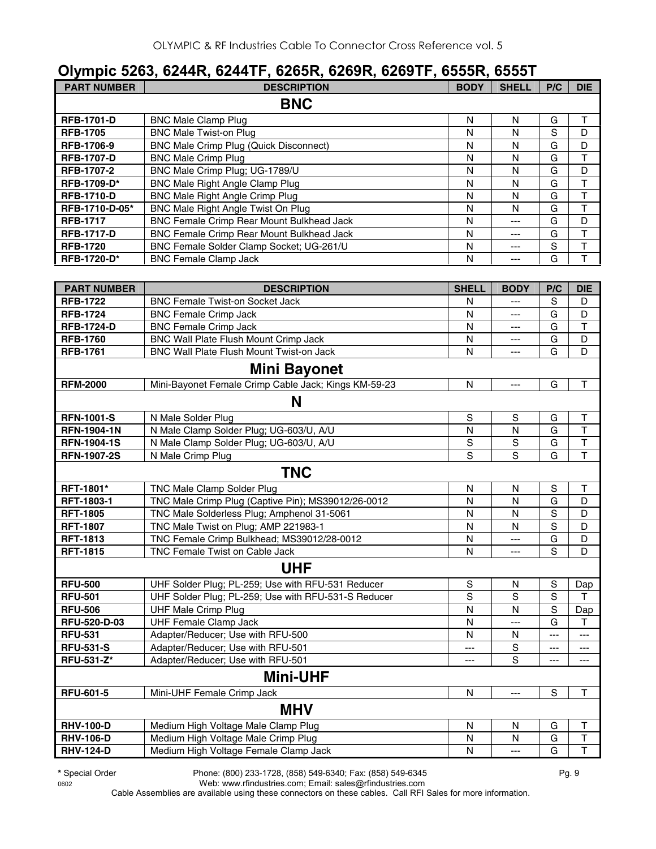#### **Olympic 5263, 6244R, 6244TF, 6265R, 6269R, 6269TF, 6555R, 6555T**

|                     | Olympic 5263, 6244R, 6244TF, 6265R, 6269R, 6269TF, 6555R, 6555T |              |                |               |                         |
|---------------------|-----------------------------------------------------------------|--------------|----------------|---------------|-------------------------|
| <b>PART NUMBER</b>  | <b>DESCRIPTION</b>                                              | <b>BODY</b>  | <b>SHELL</b>   | P/C           | <b>DIE</b>              |
|                     | <b>BNC</b>                                                      |              |                |               |                         |
| <b>RFB-1701-D</b>   | <b>BNC Male Clamp Plug</b>                                      | N            | N              | G             | Τ                       |
| <b>RFB-1705</b>     | <b>BNC Male Twist-on Plug</b>                                   | N            | N              | S             | D                       |
| <b>RFB-1706-9</b>   | <b>BNC Male Crimp Plug (Quick Disconnect)</b>                   | N            | N              | G             | D                       |
| <b>RFB-1707-D</b>   | <b>BNC Male Crimp Plug</b>                                      | N            | N              | G             | T                       |
| <b>RFB-1707-2</b>   | BNC Male Crimp Plug; UG-1789/U                                  | N            | N              | G             | D                       |
| RFB-1709-D*         | BNC Male Right Angle Clamp Plug                                 | N            | N              | G             | $\top$                  |
| <b>RFB-1710-D</b>   | <b>BNC Male Right Angle Crimp Plug</b>                          | $\mathsf{N}$ | N              | G             | $\overline{\mathsf{T}}$ |
| RFB-1710-D-05*      | BNC Male Right Angle Twist On Plug                              | N            | N              | G             | $\overline{\mathsf{T}}$ |
| <b>RFB-1717</b>     | BNC Female Crimp Rear Mount Bulkhead Jack                       | $\mathsf{N}$ | ---            | G             | D                       |
| <b>RFB-1717-D</b>   | BNC Female Crimp Rear Mount Bulkhead Jack                       | N            | ---            | G             | T                       |
| <b>RFB-1720</b>     | BNC Female Solder Clamp Socket; UG-261/U                        | N            | ---            | S             | $\top$                  |
| RFB-1720-D*         | <b>BNC Female Clamp Jack</b>                                    | N            | $---$          | G             | $\mathsf{T}$            |
|                     |                                                                 |              |                |               |                         |
| <b>PART NUMBER</b>  | <b>DESCRIPTION</b>                                              | <b>SHELL</b> | <b>BODY</b>    | P/C           | <b>DIE</b>              |
| <b>RFB-1722</b>     | <b>BNC Female Twist-on Socket Jack</b>                          | N            | ---            | S             | D                       |
| <b>RFB-1724</b>     | <b>BNC Female Crimp Jack</b>                                    | N            | ---            | G             | D                       |
| <b>RFB-1724-D</b>   | <b>BNC Female Crimp Jack</b>                                    | N            | ---            | G             | T                       |
| <b>RFB-1760</b>     | BNC Wall Plate Flush Mount Crimp Jack                           | N            | ---            | G             | D                       |
| <b>RFB-1761</b>     | BNC Wall Plate Flush Mount Twist-on Jack                        | N            | ---            | G             | D                       |
|                     | <b>Mini Bayonet</b>                                             |              |                |               |                         |
| <b>RFM-2000</b>     | Mini-Bayonet Female Crimp Cable Jack; Kings KM-59-23            | N            | $---$          | G             | $\sf T$                 |
|                     | N                                                               |              |                |               |                         |
| <b>RFN-1001-S</b>   | N Male Solder Plug                                              | S            | $\mathsf S$    | G             | $\sf T$                 |
| <b>RFN-1904-1N</b>  | N Male Clamp Solder Plug; UG-603/U, A/U                         | N            | N              | G             | $\top$                  |
| <b>RFN-1904-1S</b>  | N Male Clamp Solder Plug; UG-603/U, A/U                         | $\mathbf S$  | ${\mathbb S}$  | G             | $\mathsf T$             |
| <b>RFN-1907-2S</b>  | N Male Crimp Plug                                               | S            | S              | G             | T                       |
|                     | <b>TNC</b>                                                      |              |                |               |                         |
| RFT-1801*           | TNC Male Clamp Solder Plug                                      | N            | N              | S             | $\sf T$                 |
| RFT-1803-1          | TNC Male Crimp Plug (Captive Pin); MS39012/26-0012              | N            | N              | G             | D                       |
| <b>RFT-1805</b>     | TNC Male Solderless Plug; Amphenol 31-5061                      | N            | N              | S             | D                       |
| <b>RFT-1807</b>     | TNC Male Twist on Plug; AMP 221983-1                            | N            | N              | S             | D                       |
| <b>RFT-1813</b>     | TNC Female Crimp Bulkhead; MS39012/28-0012                      | N            | $\overline{a}$ | G             | D                       |
| <b>RFT-1815</b>     | TNC Female Twist on Cable Jack                                  | N            | $---$          | S             | D                       |
|                     | <b>UHF</b>                                                      |              |                |               |                         |
| <b>RFU-500</b>      | UHF Solder Plug; PL-259; Use with RFU-531 Reducer               | S            | ${\sf N}$      | $\mathbb S$   | Dap                     |
| <b>RFU-501</b>      | UHF Solder Plug; PL-259; Use with RFU-531-S Reducer             | S            | S              | S             | T                       |
| <b>RFU-506</b>      | <b>UHF Male Crimp Plug</b>                                      | N            | N              | S             | Dap                     |
| <b>RFU-520-D-03</b> | <b>UHF Female Clamp Jack</b>                                    | N            | ---            | G             | Т                       |
| <b>RFU-531</b>      | Adapter/Reducer; Use with RFU-500                               | N            | N              | ---           | ---                     |
| <b>RFU-531-S</b>    | Adapter/Reducer; Use with RFU-501                               | ---          | S              | ---           | ---                     |
| RFU-531-Z*          | Adapter/Reducer; Use with RFU-501                               | ---          | S              | ---           | ---                     |
|                     | <b>Mini-UHF</b>                                                 |              |                |               |                         |
| <b>RFU-601-5</b>    | Mini-UHF Female Crimp Jack                                      | N            | ---            | ${\mathsf S}$ | Τ                       |
|                     | <b>MHV</b>                                                      |              |                |               |                         |
| <b>RHV-100-D</b>    | Medium High Voltage Male Clamp Plug                             | ${\sf N}$    | ${\sf N}$      | G             | Τ                       |

0602 Web: www.rfindustries.com; Email: sales@rfindustries.com Cable Assemblies are available using these connectors on these cables. Call RFI Sales for more information.

**RHV-106-D** Medium High Voltage Male Crimp Plug<br> **RHV-124-D** Medium High Voltage Female Clamp Jack N N --- G T

**Medium High Voltage Female Clamp Jack N N --- G T**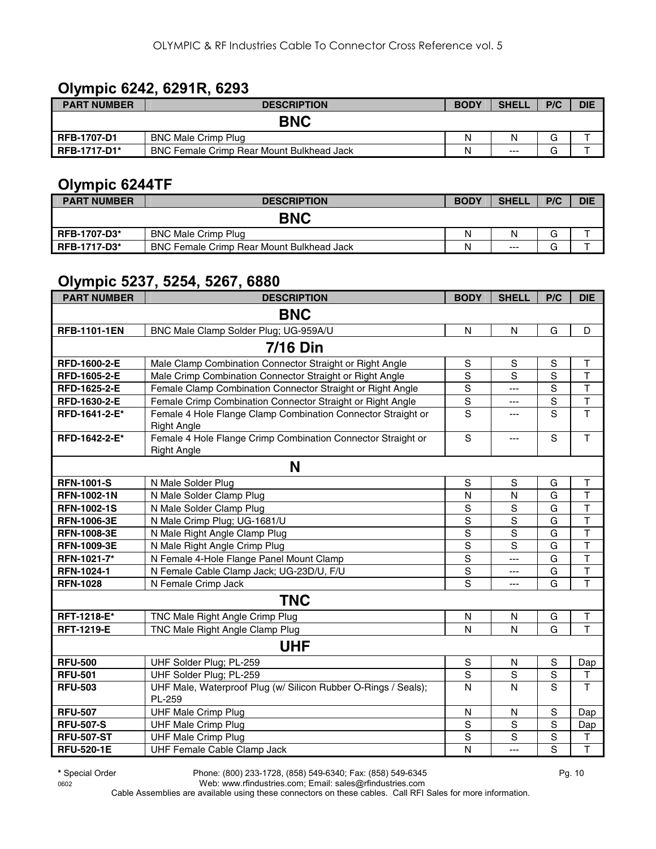#### **Olympic 6242, 6291R, 6293**

| <b>PART NUMBER</b>  | <b>DESCRIPTION</b>                        | <b>BODY</b> | <b>SHELL</b> | P/C         | <b>DIE</b> |
|---------------------|-------------------------------------------|-------------|--------------|-------------|------------|
|                     | <b>BNC</b>                                |             |              |             |            |
| <b>RFB-1707-D1</b>  | <b>BNC Male Crimp Plug</b>                | N           | N            | $\sim$<br>G |            |
| <b>RFB-1717-D1*</b> | BNC Female Crimp Rear Mount Bulkhead Jack | N           | $---$        | ⌒<br>G      |            |

#### **Olympic 6244TF**

| <b>PART NUMBER</b>  | <b>DESCRIPTION</b>                        | <b>BODY</b> | <b>SHELI</b> | P/C | <b>DIE</b> |
|---------------------|-------------------------------------------|-------------|--------------|-----|------------|
|                     | <b>BNC</b>                                |             |              |     |            |
| <b>RFB-1707-D3*</b> | <b>BNC Male Crimp Plug</b>                | Ν           | N            |     |            |
| <b>RFB-1717-D3*</b> | BNC Female Crimp Rear Mount Bulkhead Jack | Ν           | $---$        |     |            |

#### **Olympic 5237, 5254, 5267, 6880**

| <b>PART NUMBER</b>  | <b>DESCRIPTION</b>                                                                 | <b>BODY</b>    | <b>SHELL</b>   | P/C            | <b>DIE</b>              |  |  |  |  |  |
|---------------------|------------------------------------------------------------------------------------|----------------|----------------|----------------|-------------------------|--|--|--|--|--|
|                     | <b>BNC</b>                                                                         |                |                |                |                         |  |  |  |  |  |
| <b>RFB-1101-1EN</b> | BNC Male Clamp Solder Plug; UG-959A/U                                              | $\mathsf{N}$   | $\mathsf{N}$   | G              | D                       |  |  |  |  |  |
| <b>7/16 Din</b>     |                                                                                    |                |                |                |                         |  |  |  |  |  |
| RFD-1600-2-E        | Male Clamp Combination Connector Straight or Right Angle                           | S              | S              | S              | Т                       |  |  |  |  |  |
| RFD-1605-2-E        | Male Crimp Combination Connector Straight or Right Angle                           | S              | S              | S              | T                       |  |  |  |  |  |
| RFD-1625-2-E        | Female Clamp Combination Connector Straight or Right Angle                         | S              | $---$          | S              | $\overline{\mathsf{T}}$ |  |  |  |  |  |
| RFD-1630-2-E        | Female Crimp Combination Connector Straight or Right Angle                         | $\mathsf S$    | ---            | $\rm S$        | $\top$                  |  |  |  |  |  |
| RFD-1641-2-E*       | Female 4 Hole Flange Clamp Combination Connector Straight or<br><b>Right Angle</b> | S              | $\overline{a}$ | S              | $\overline{\mathsf{T}}$ |  |  |  |  |  |
| RFD-1642-2-E*       | Female 4 Hole Flange Crimp Combination Connector Straight or<br><b>Right Angle</b> | S              | ---            | S              | T                       |  |  |  |  |  |
|                     | N                                                                                  |                |                |                |                         |  |  |  |  |  |
| <b>RFN-1001-S</b>   | N Male Solder Plug                                                                 | S              | S              | G              | T                       |  |  |  |  |  |
| <b>RFN-1002-1N</b>  | N Male Solder Clamp Plug                                                           | $\mathsf{N}$   | N              | G              | $\mathsf T$             |  |  |  |  |  |
| <b>RFN-1002-1S</b>  | N Male Solder Clamp Plug                                                           | S              | S              | G              | $\overline{\mathsf{T}}$ |  |  |  |  |  |
| <b>RFN-1006-3E</b>  | N Male Crimp Plug; UG-1681/U                                                       | $\overline{s}$ | S              | G              | $\overline{\mathsf{T}}$ |  |  |  |  |  |
| <b>RFN-1008-3E</b>  | N Male Right Angle Clamp Plug                                                      | $\overline{s}$ | $\overline{s}$ | $\overline{G}$ | $\overline{\mathsf{T}}$ |  |  |  |  |  |
| RFN-1009-3E         | N Male Right Angle Crimp Plug                                                      | $\overline{s}$ | S              | $\overline{G}$ | $\overline{\mathsf{T}}$ |  |  |  |  |  |
| RFN-1021-7*         | N Female 4-Hole Flange Panel Mount Clamp                                           | $\overline{s}$ | $---$          | $\overline{G}$ | $\overline{\mathsf{T}}$ |  |  |  |  |  |
| RFN-1024-1          | N Female Cable Clamp Jack; UG-23D/U, F/U                                           | $\overline{s}$ | ---            | G              | $\overline{\mathsf{T}}$ |  |  |  |  |  |
| <b>RFN-1028</b>     | N Female Crimp Jack                                                                | S              | ---            | G              | $\overline{\mathsf{T}}$ |  |  |  |  |  |
|                     | <b>TNC</b>                                                                         |                |                |                |                         |  |  |  |  |  |
| RFT-1218-E*         | TNC Male Right Angle Crimp Plug                                                    | N              | ${\sf N}$      | G              | T                       |  |  |  |  |  |
| <b>RFT-1219-E</b>   | TNC Male Right Angle Clamp Plug                                                    | $\mathsf{N}$   | N              | G              | T                       |  |  |  |  |  |
|                     | <b>UHF</b>                                                                         |                |                |                |                         |  |  |  |  |  |
| <b>RFU-500</b>      | UHF Solder Plug; PL-259                                                            | S              | N              | S              | Dap                     |  |  |  |  |  |
| <b>RFU-501</b>      | UHF Solder Plug; PL-259                                                            | S              | $\mathbf S$    | S              | Τ                       |  |  |  |  |  |
| <b>RFU-503</b>      | UHF Male, Waterproof Plug (w/ Silicon Rubber O-Rings / Seals);<br>PL-259           | N              | $\mathsf{N}$   | S              | T                       |  |  |  |  |  |
| <b>RFU-507</b>      | <b>UHF Male Crimp Plug</b>                                                         | N              | N              | $\mathbf S$    | Dap                     |  |  |  |  |  |
| <b>RFU-507-S</b>    | <b>UHF Male Crimp Plug</b>                                                         | S              | S              | S              | Dap                     |  |  |  |  |  |
| <b>RFU-507-ST</b>   | <b>UHF Male Crimp Plug</b>                                                         | $\mathsf S$    | S              | S              | $\sf T$                 |  |  |  |  |  |
| <b>RFU-520-1E</b>   | UHF Female Cable Clamp Jack                                                        | N              | ---            | $\overline{s}$ | $\overline{\mathsf{T}}$ |  |  |  |  |  |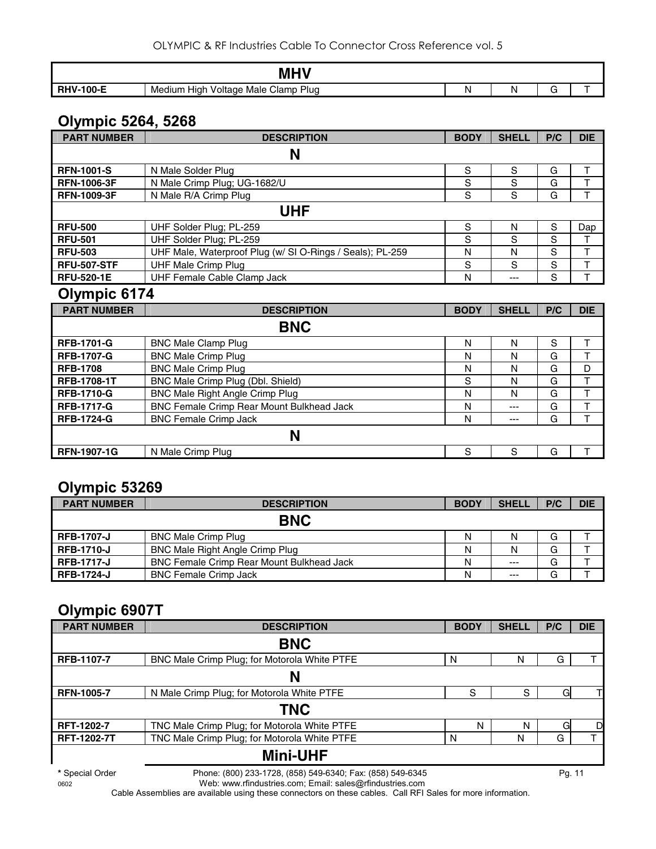|                      | <b>MHV</b>                                         |   |   |  |
|----------------------|----------------------------------------------------|---|---|--|
| $100-F$<br><b>DU</b> | Plug<br>Clamp<br>Male<br>Medium<br>Voltage<br>Hıar | N | M |  |

### **Olympic 5264, 5268**

| <b>PART NUMBER</b> | <b>DESCRIPTION</b>                                        | <b>BODY</b> | <b>SHELL</b> | P/C | <b>DIE</b> |
|--------------------|-----------------------------------------------------------|-------------|--------------|-----|------------|
|                    | N                                                         |             |              |     |            |
| <b>RFN-1001-S</b>  | N Male Solder Plug                                        | S           | S            | G   |            |
| <b>RFN-1006-3F</b> | N Male Crimp Plug; UG-1682/U                              | S           | S            | G   |            |
| <b>RFN-1009-3F</b> | N Male R/A Crimp Plug                                     | S           | S            | G   |            |
|                    | UHF                                                       |             |              |     |            |
| <b>RFU-500</b>     | UHF Solder Plug; PL-259                                   | S           | N            | S   | Dap        |
| <b>RFU-501</b>     | UHF Solder Plug; PL-259                                   | S           | S            | S   |            |
| <b>RFU-503</b>     | UHF Male, Waterproof Plug (w/ SI O-Rings / Seals); PL-259 | N           | N            | S   |            |
| <b>RFU-507-STF</b> | <b>UHF Male Crimp Plug</b>                                | S           | S            | S   |            |
| <b>RFU-520-1E</b>  | UHF Female Cable Clamp Jack                               | N           | ---          | S   |            |

#### **Olympic 6174**

| <b>PART NUMBER</b> | <b>DESCRIPTION</b>                        | <b>BODY</b> | <b>SHELL</b> | P/C | <b>DIE</b> |
|--------------------|-------------------------------------------|-------------|--------------|-----|------------|
|                    | <b>BNC</b>                                |             |              |     |            |
| <b>RFB-1701-G</b>  | <b>BNC Male Clamp Plug</b>                | N           | N            | S   |            |
| <b>RFB-1707-G</b>  | <b>BNC Male Crimp Plug</b>                | N           | N            | G   |            |
| <b>RFB-1708</b>    | <b>BNC Male Crimp Plug</b>                | N           | N            | G   | D          |
| <b>RFB-1708-1T</b> | BNC Male Crimp Plug (Dbl. Shield)         | S           | N            | G   |            |
| <b>RFB-1710-G</b>  | BNC Male Right Angle Crimp Plug           | N           | N            | G   |            |
| <b>RFB-1717-G</b>  | BNC Female Crimp Rear Mount Bulkhead Jack | N           | ---          | G   |            |
| <b>RFB-1724-G</b>  | <b>BNC Female Crimp Jack</b>              | N           | ---          | G   |            |
|                    | N                                         |             |              |     |            |
| <b>RFN-1907-1G</b> | N Male Crimp Plug                         | S           | S            | G   |            |

#### **Olympic 53269**

| <b>PART NUMBER</b> | <b>DESCRIPTION</b>                               | <b>BODY</b> | <b>SHELL</b> | P/C | <b>DIE</b> |
|--------------------|--------------------------------------------------|-------------|--------------|-----|------------|
|                    | <b>BNC</b>                                       |             |              |     |            |
| <b>RFB-1707-J</b>  | <b>BNC Male Crimp Plug</b>                       | N           |              | G   |            |
| <b>RFB-1710-J</b>  | <b>BNC Male Right Angle Crimp Plug</b>           | Ν           |              | G   |            |
| <b>RFB-1717-J</b>  | <b>BNC Female Crimp Rear Mount Bulkhead Jack</b> | N           | $---$        | G   |            |
| <b>RFB-1724-J</b>  | <b>BNC Female Crimp Jack</b>                     | N           | $---$        | G   |            |

## **Olympic 6907T**

| <b>PART NUMBER</b> | <b>DESCRIPTION</b>                           | <b>BODY</b> | <b>SHELL</b> | P/C | <b>DIE</b> |
|--------------------|----------------------------------------------|-------------|--------------|-----|------------|
|                    | <b>BNC</b>                                   |             |              |     |            |
| RFB-1107-7         | BNC Male Crimp Plug; for Motorola White PTFE | N           | N            | G   |            |
|                    | N                                            |             |              |     |            |
| <b>RFN-1005-7</b>  | N Male Crimp Plug; for Motorola White PTFE   | S           | S            | G   |            |
|                    | <b>TNC</b>                                   |             |              |     |            |
| RFT-1202-7         | TNC Male Crimp Plug; for Motorola White PTFE | N           | N            | G   | D          |
| RFT-1202-7T        | TNC Male Crimp Plug; for Motorola White PTFE | N           | N            | G   |            |
|                    | <b>Mini-UHF</b>                              |             |              |     |            |

**\*** Special Order Phone: (800) 233-1728, (858) 549-6340; Fax: (858) 549-6345 Pg. 11

0602 Web: www.rfindustries.com; Email: sales@rfindustries.com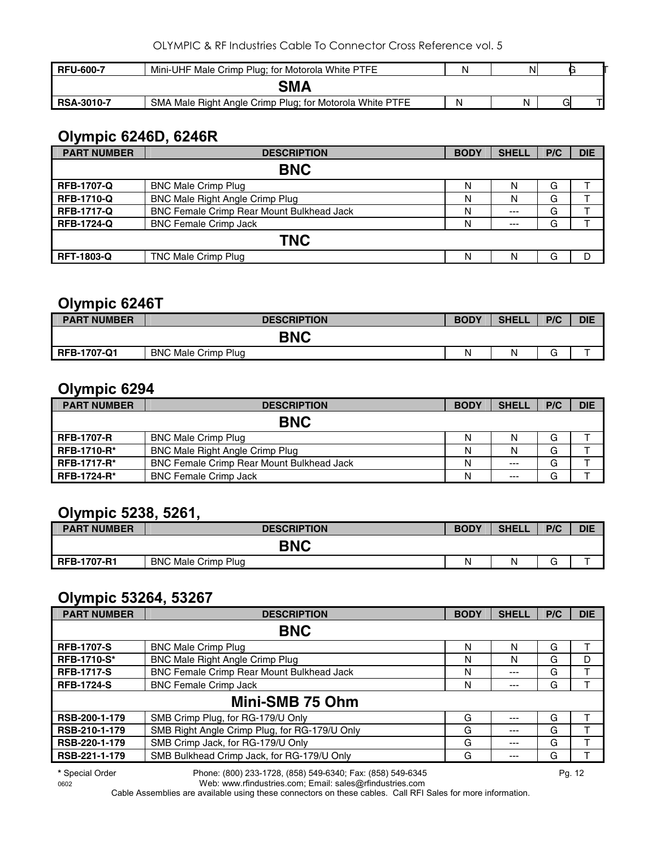| <b>RFU-600-7</b>  | Mini-UHF Male Crimp Plug; for Motorola White PTFE        |   | N |  |
|-------------------|----------------------------------------------------------|---|---|--|
|                   | SMA                                                      |   |   |  |
| <b>RSA-3010-7</b> | SMA Male Right Angle Crimp Plug; for Motorola White PTFE | Ν | Ν |  |

### **Olympic 6246D, 6246R**

| <b>PART NUMBER</b> | <b>DESCRIPTION</b>                        | <b>BODY</b> | <b>SHELL</b> | P/C | <b>DIE</b> |  |  |  |  |
|--------------------|-------------------------------------------|-------------|--------------|-----|------------|--|--|--|--|
| <b>BNC</b>         |                                           |             |              |     |            |  |  |  |  |
| <b>RFB-1707-Q</b>  | <b>BNC Male Crimp Plug</b>                | N           | N            | G   |            |  |  |  |  |
| <b>RFB-1710-Q</b>  | BNC Male Right Angle Crimp Plug           | N           | N            | G   |            |  |  |  |  |
| <b>RFB-1717-Q</b>  | BNC Female Crimp Rear Mount Bulkhead Jack | N           | $---$        | G   |            |  |  |  |  |
| <b>RFB-1724-Q</b>  | <b>BNC Female Crimp Jack</b>              | N           | $---$        | G   |            |  |  |  |  |
| <b>TNC</b>         |                                           |             |              |     |            |  |  |  |  |
| <b>RFT-1803-Q</b>  | TNC Male Crimp Plug                       | N           | N            | G   | D          |  |  |  |  |

#### **Olympic 6246T**

| <b>PART NUMBER</b> | <b>DESCRIPTION</b>         | <b>BODY</b> | <b>SHELL</b> | P/C    | <b>DIE</b> |
|--------------------|----------------------------|-------------|--------------|--------|------------|
|                    | <b>BNC</b>                 |             |              |        |            |
| <b>RFB-1707-Q1</b> | <b>BNC Male Crimp Plug</b> | Ν           | N            | ⌒<br>J |            |

#### **Olympic 6294**

| <b>PART NUMBER</b> | <b>DESCRIPTION</b>                        | <b>BODY</b> | <b>SHELL</b> | P/C | <b>DIE</b> |
|--------------------|-------------------------------------------|-------------|--------------|-----|------------|
|                    | <b>BNC</b>                                |             |              |     |            |
| <b>RFB-1707-R</b>  | <b>BNC Male Crimp Plug</b>                | Ν           | N            | G   |            |
| <b>RFB-1710-R*</b> | <b>BNC Male Right Angle Crimp Plug</b>    | Ν           | N            | G   |            |
| <b>RFB-1717-R*</b> | BNC Female Crimp Rear Mount Bulkhead Jack | N           | $---$        | G   |            |
| <b>RFB-1724-R*</b> | <b>BNC Female Crimp Jack</b>              | N           | $---$        | G   |            |

#### **Olympic 5238, 5261,**

| <b>PART NUMBER</b> | <b>DESCRIPTION</b>         | <b>BODY</b> | <b>SHELL</b> | P/C     | <b>DIE</b> |  |
|--------------------|----------------------------|-------------|--------------|---------|------------|--|
| <b>BNC</b>         |                            |             |              |         |            |  |
| <b>RFB-1707-R1</b> | <b>BNC Male Crimp Plug</b> | Ν           | N            | ⌒<br>п. | -          |  |

#### **Olympic 53264, 53267**

| <b>PART NUMBER</b> | <b>DESCRIPTION</b>                            | <b>BODY</b> | <b>SHELL</b> | P/C | <b>DIE</b> |  |
|--------------------|-----------------------------------------------|-------------|--------------|-----|------------|--|
| <b>BNC</b>         |                                               |             |              |     |            |  |
| <b>RFB-1707-S</b>  | <b>BNC Male Crimp Plug</b>                    | N           | N            | G   |            |  |
| <b>RFB-1710-S*</b> | <b>BNC Male Right Angle Crimp Plug</b>        | N           | N            | G   | D          |  |
| <b>RFB-1717-S</b>  | BNC Female Crimp Rear Mount Bulkhead Jack     | N           | ---          | G   |            |  |
| <b>RFB-1724-S</b>  | <b>BNC Female Crimp Jack</b>                  | N           | ---          | G   |            |  |
| Mini-SMB 75 Ohm    |                                               |             |              |     |            |  |
| RSB-200-1-179      | SMB Crimp Plug, for RG-179/U Only             | G           | ---          | G   |            |  |
| RSB-210-1-179      | SMB Right Angle Crimp Plug, for RG-179/U Only | G           | ---          | G   |            |  |
| RSB-220-1-179      | SMB Crimp Jack, for RG-179/U Only             | G           | ---          | G   |            |  |
| RSB-221-1-179      | SMB Bulkhead Crimp Jack, for RG-179/U Only    | G           | ---          | G   |            |  |

**\*** Special Order Phone: (800) 233-1728, (858) 549-6340; Fax: (858) 549-6345 Pg. 12

0602 Web: www.rfindustries.com; Email: sales@rfindustries.com